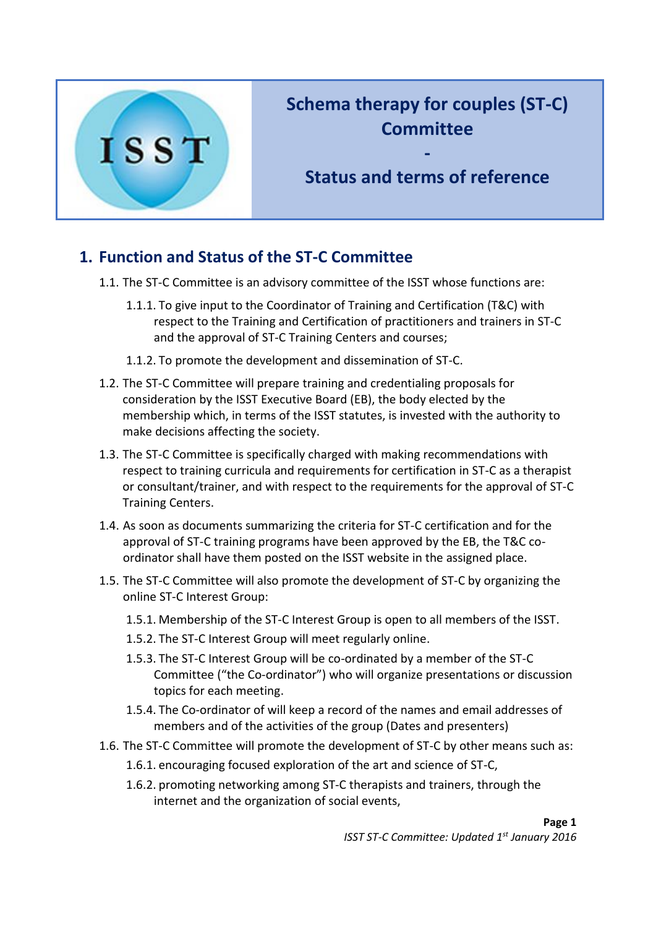

## **Schema therapy for couples (ST-C) Committee**

**Status and terms of reference**

**-**

## **1. Function and Status of the ST-C Committee**

- 1.1. The ST-C Committee is an advisory committee of the ISST whose functions are:
	- 1.1.1. To give input to the Coordinator of Training and Certification (T&C) with respect to the Training and Certification of practitioners and trainers in ST-C and the approval of ST-C Training Centers and courses;
	- 1.1.2. To promote the development and dissemination of ST-C.
- 1.2. The ST-C Committee will prepare training and credentialing proposals for consideration by the ISST Executive Board (EB), the body elected by the membership which, in terms of the ISST statutes, is invested with the authority to make decisions affecting the society.
- 1.3. The ST-C Committee is specifically charged with making recommendations with respect to training curricula and requirements for certification in ST-C as a therapist or consultant/trainer, and with respect to the requirements for the approval of ST-C Training Centers.
- 1.4. As soon as documents summarizing the criteria for ST-C certification and for the approval of ST-C training programs have been approved by the EB, the T&C coordinator shall have them posted on the ISST website in the assigned place.
- 1.5. The ST-C Committee will also promote the development of ST-C by organizing the online ST-C Interest Group:
	- 1.5.1. Membership of the ST-C Interest Group is open to all members of the ISST.
	- 1.5.2. The ST-C Interest Group will meet regularly online.
	- 1.5.3. The ST-C Interest Group will be co-ordinated by a member of the ST-C Committee ("the Co-ordinator") who will organize presentations or discussion topics for each meeting.
	- 1.5.4. The Co-ordinator of will keep a record of the names and email addresses of members and of the activities of the group (Dates and presenters)
- 1.6. The ST-C Committee will promote the development of ST-C by other means such as:
	- 1.6.1. encouraging focused exploration of the art and science of ST-C,
	- 1.6.2. promoting networking among ST-C therapists and trainers, through the internet and the organization of social events,